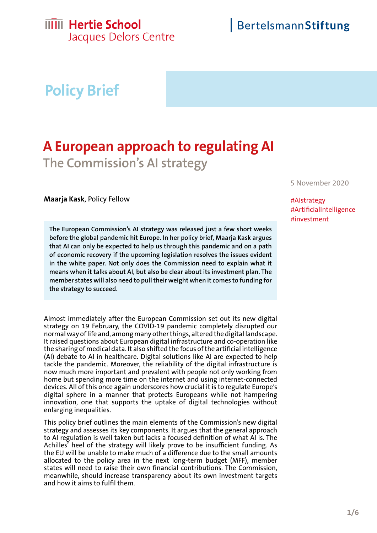## **IIIII** Hertie School

Jacques Delors Centre

# **Policy Brief**

## **A European approach to regulating AI The Commission's AI strategy**

**Maarja Kask**, Policy Fellow

**The European Commission's AI strategy was released just a few short weeks before the global pandemic hit Europe. In her policy brief, Maarja Kask argues that AI can only be expected to help us through this pandemic and on a path of economic recovery if the upcoming legislation resolves the issues evident in the white paper. Not only does the Commission need to explain what it means when it talks about AI, but also be clear about its investment plan. The member states will also need to pull their weight when it comes to funding for the strategy to succeed.**

Almost immediately after the European Commission set out its new digital strategy on 19 February, the COVID-19 pandemic completely disrupted our normal way of life and, among many other things, altered the digital landscape. It raised questions about European digital infrastructure and co-operation like the sharing of medical data. It also shifted the focus of the artificial intelligence (AI) debate to AI in healthcare. Digital solutions like AI are expected to help tackle the pandemic. Moreover, the reliability of the digital infrastructure is now much more important and prevalent with people not only working from home but spending more time on the internet and using internet-connected devices. All of this once again underscores how crucial it is to regulate Europe's digital sphere in a manner that protects Europeans while not hampering innovation, one that supports the uptake of digital technologies without enlarging inequalities.

This policy brief outlines the main elements of the Commission's new digital strategy and assesses its key components. It argues that the general approach to AI regulation is well taken but lacks a focused definition of what AI is. The Achilles' heel of the strategy will likely prove to be insufficient funding. As the EU will be unable to make much of a difference due to the small amounts allocated to the policy area in the next long-term budget (MFF), member states will need to raise their own financial contributions. The Commission, meanwhile, should increase transparency about its own investment targets and how it aims to fulfil them.

5 November 2020

#AIstrategy #ArtificialIntelligence #investment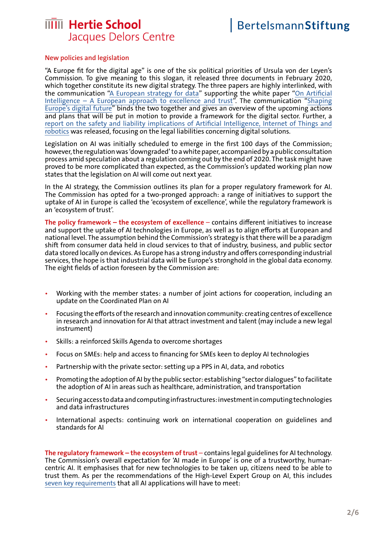### **IIIII** Hertie School Jacques Delors Centre

#### **New policies and legislation**

"A Europe fit for the digital age" is one of the six political priorities of Ursula von der Leyen's Commission. To give meaning to this slogan, it released three documents in February 2020, which together constitute its new digital strategy. The three papers are highly interlinked, with the communication ["A European strategy for data](https://eur-lex.europa.eu/legal-content/EN/TXT/PDF/?uri=CELEX:52020DC0066&from=EN)" supporting the white paper ["On Artificial](https://eur-lex.europa.eu/legal-content/EN/TXT/PDF/?uri=CELEX:52020DC0065&qid=1602582355514&from=EN) [Intelligence – A European approach to excellence and trust"](https://eur-lex.europa.eu/legal-content/EN/TXT/PDF/?uri=CELEX:52020DC0065&qid=1602582355514&from=EN). The communication "[Shaping](https://eur-lex.europa.eu/legal-content/EN/TXT/PDF/?uri=CELEX:52020DC0067&qid=1602582418857&from=EN) [Europe's digital future"](https://eur-lex.europa.eu/legal-content/EN/TXT/PDF/?uri=CELEX:52020DC0067&qid=1602582418857&from=EN) binds the two together and gives an overview of the upcoming actions and plans that will be put in motion to provide a framework for the digital sector. Further, a [report on the safety and liability implications of Artificial Intelligence, Internet of Things and](https://eur-lex.europa.eu/legal-content/EN/TXT/PDF/?uri=CELEX:52020DC0064&from=en) [robotics](https://eur-lex.europa.eu/legal-content/EN/TXT/PDF/?uri=CELEX:52020DC0064&from=en) was released, focusing on the legal liabilities concerning digital solutions.

Legislation on AI was initially scheduled to emerge in the first 100 days of the Commission; however, the regulation was 'downgraded' to a white paper, accompanied by a public consultation process amid speculation about a regulation coming out by the end of 2020. The task might have proved to be more complicated than expected, as the Commission's updated working plan now states that the legislation on AI will come out next year.

In the AI strategy, the Commission outlines its plan for a proper regulatory framework for AI. The Commission has opted for a two-pronged approach: a range of initiatives to support the uptake of AI in Europe is called the 'ecosystem of excellence', while the regulatory framework is an 'ecosystem of trust'.

**The policy framework – the ecosystem of excellence** – contains different initiatives to increase and support the uptake of AI technologies in Europe, as well as to align efforts at European and national level. The assumption behind the Commission's strategy is that there will be a paradigm shift from consumer data held in cloud services to that of industry, business, and public sector data stored locally on devices. As Europe has a strong industry and offers corresponding industrial services, the hope is that industrial data will be Europe's stronghold in the global data economy. The eight fields of action foreseen by the Commission are:

- Working with the member states: a number of joint actions for cooperation, including an update on the Coordinated Plan on AI
- Focusing the efforts of the research and innovation community: creating centres of excellence in research and innovation for AI that attract investment and talent (may include a new legal instrument)
- Skills: a reinforced Skills Agenda to overcome shortages
- Focus on SMEs: help and access to financing for SMEs keen to deploy AI technologies
- Partnership with the private sector: setting up a PPS in AI, data, and robotics
- Promoting the adoption of AI by the public sector: establishing "sector dialogues" to facilitate the adoption of AI in areas such as healthcare, administration, and transportation
- Securing access to data and computing infrastructures: investment in computing technologies and data infrastructures
- International aspects: continuing work on international cooperation on guidelines and standards for AI

**The regulatory framework – the ecosystem of trust** – contains legal guidelines for AI technology. The Commission's overall expectation for 'AI made in Europe' is one of a trustworthy, humancentric AI. It emphasises that for new technologies to be taken up, citizens need to be able to trust them. As per the recommendations of the High-Level Expert Group on AI, this includes [seven key requirements](https://eur-lex.europa.eu/legal-content/EN/TXT/PDF/?uri=CELEX:52019DC0168&from=GA) that all AI applications will have to meet: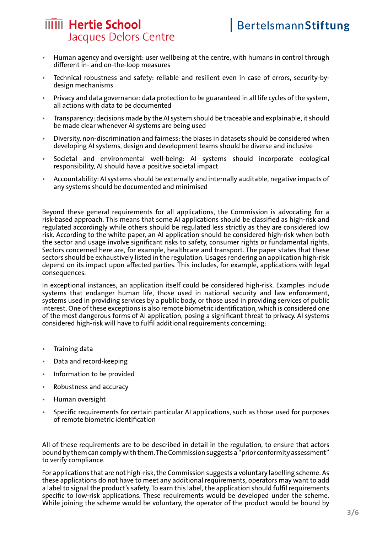## **IIII** Hertie School Jacques Delors Centre

- Human agency and oversight: user wellbeing at the centre, with humans in control through different in- and on-the-loop measures
- Technical robustness and safety: reliable and resilient even in case of errors, security-bydesign mechanisms
- Privacy and data governance: data protection to be guaranteed in all life cycles of the system, all actions with data to be documented
- Transparency: decisions made by the AI system should be traceable and explainable, it should be made clear whenever AI systems are being used
- Diversity, non-discrimination and fairness: the biases in datasets should be considered when developing AI systems, design and development teams should be diverse and inclusive
- Societal and environmental well-being: AI systems should incorporate ecological responsibility, AI should have a positive societal impact
- Accountability: AI systems should be externally and internally auditable, negative impacts of any systems should be documented and minimised

Beyond these general requirements for all applications, the Commission is advocating for a risk-based approach. This means that some AI applications should be classified as high-risk and regulated accordingly while others should be regulated less strictly as they are considered low risk. According to the white paper, an AI application should be considered high-risk when both the sector and usage involve significant risks to safety, consumer rights or fundamental rights. Sectors concerned here are, for example, healthcare and transport. The paper states that these sectors should be exhaustively listed in the regulation. Usages rendering an application high-risk depend on its impact upon affected parties. This includes, for example, applications with legal consequences.

In exceptional instances, an application itself could be considered high-risk. Examples include systems that endanger human life, those used in national security and law enforcement, systems used in providing services by a public body, or those used in providing services of public interest. One of these exceptions is also remote biometric identification, which is considered one of the most dangerous forms of AI application, posing a significant threat to privacy. AI systems considered high-risk will have to fulfil additional requirements concerning:

- Training data
- Data and record-keeping
- Information to be provided
- Robustness and accuracy
- Human oversight
- Specific requirements for certain particular AI applications, such as those used for purposes of remote biometric identification

All of these requirements are to be described in detail in the regulation, to ensure that actors bound by them can comply with them. The Commission suggests a "prior conformity assessment" to verify compliance.

For applications that are not high-risk, the Commission suggests a voluntary labelling scheme. As these applications do not have to meet any additional requirements, operators may want to add a label to signal the product's safety. To earn this label, the application should fulfil requirements specific to low-risk applications. These requirements would be developed under the scheme. While joining the scheme would be voluntary, the operator of the product would be bound by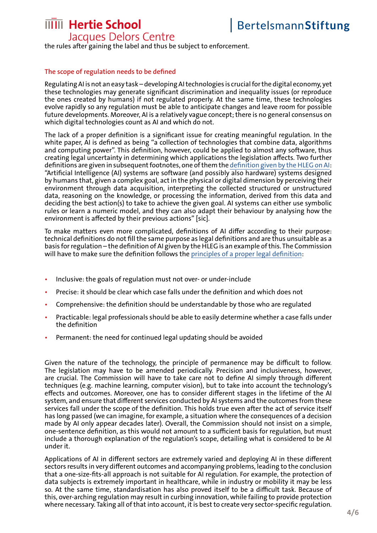## **MIII** Hertie School

Jacques Delors Centre the rules after gaining the label and thus be subject to enforcement.

### **The scope of regulation needs to be defined**

Regulating AI is not an easy task – developing AI technologies is crucial for the digital economy, yet these technologies may generate significant discrimination and inequality issues (or reproduce the ones created by humans) if not regulated properly. At the same time, these technologies evolve rapidly so any regulation must be able to anticipate changes and leave room for possible future developments. Moreover, AI is a relatively vague concept; there is no general consensus on which digital technologies count as AI and which do not.

The lack of a proper definition is a significant issue for creating meaningful regulation. In the white paper, AI is defined as being "a collection of technologies that combine data, algorithms and computing power". This definition, however, could be applied to almost any software, thus creating legal uncertainty in determining which applications the legislation affects. Two further definitions are given in subsequent footnotes, one of them the [definition given by the HLEG on AI:](https://ec.europa.eu/newsroom/dae/document.cfm?doc_id=56341) "Artificial Intelligence (AI) systems are software (and possibly also hardware) systems designed by humans that, given a complex goal, act in the physical or digital dimension by perceiving their environment through data acquisition, interpreting the collected structured or unstructured data, reasoning on the knowledge, or processing the information, derived from this data and deciding the best action(s) to take to achieve the given goal. AI systems can either use symbolic rules or learn a numeric model, and they can also adapt their behaviour by analysing how the environment is affected by their previous actions" [sic].

To make matters even more complicated, definitions of AI differ according to their purpose: technical definitions do not fill the same purpose as legal definitions and are thus unsuitable as a basis for regulation – the definition of AI given by the HLEG is an example of this. The Commission will have to make sure the definition follows the [principles of a proper legal definition:](https://allai.nl/wp-content/uploads/2020/09/Inception-Impact-Assessment-AI-feedback-ALLAI.pdf)

- Inclusive: the goals of regulation must not over- or under-include
- Precise: it should be clear which case falls under the definition and which does not
- Comprehensive: the definition should be understandable by those who are regulated
- Practicable: legal professionals should be able to easily determine whether a case falls under the definition
- Permanent: the need for continued legal updating should be avoided

Given the nature of the technology, the principle of permanence may be difficult to follow. The legislation may have to be amended periodically. Precision and inclusiveness, however, are crucial. The Commission will have to take care not to define AI simply through different techniques (e.g. machine learning, computer vision), but to take into account the technology's effects and outcomes. Moreover, one has to consider different stages in the lifetime of the AI system, and ensure that different services conducted by AI systems and the outcomes from these services fall under the scope of the definition. This holds true even after the act of service itself has long passed (we can imagine, for example, a situation where the consequences of a decision made by AI only appear decades later). Overall, the Commission should not insist on a simple, one-sentence definition, as this would not amount to a sufficient basis for regulation, but must include a thorough explanation of the regulation's scope, detailing what is considered to be AI under it.

Applications of AI in different sectors are extremely varied and deploying AI in these different sectors results in very different outcomes and accompanying problems, leading to the conclusion that a one-size-fits-all approach is not suitable for AI regulation. For example, the protection of data subjects is extremely important in healthcare, while in industry or mobility it may be less so. At the same time, standardisation has also proved itself to be a difficult task. Because of this, over-arching regulation may result in curbing innovation, while failing to provide protection where necessary. Taking all of that into account, it is best to create very sector-specific regulation.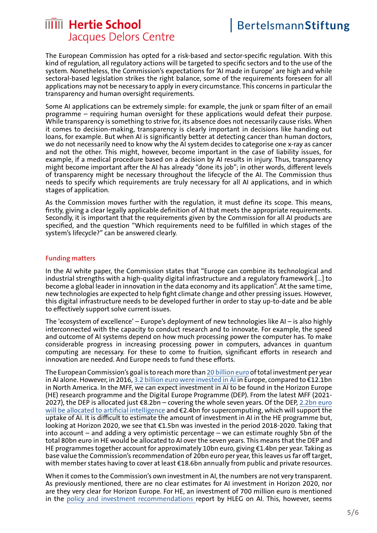### **MIII** Hertie School Jacques Delors Centre

The European Commission has opted for a risk-based and sector-specific regulation. With this kind of regulation, all regulatory actions will be targeted to specific sectors and to the use of the system. Nonetheless, the Commission's expectations for 'AI made in Europe' are high and while sectoral-based legislation strikes the right balance, some of the requirements foreseen for all applications may not be necessary to apply in every circumstance. This concerns in particular the transparency and human oversight requirements.

Some AI applications can be extremely simple: for example, the junk or spam filter of an email programme – requiring human oversight for these applications would defeat their purpose. While transparency is something to strive for, its absence does not necessarily cause risks. When it comes to decision-making, transparency is clearly important in decisions like handing out loans, for example. But when AI is significantly better at detecting cancer than human doctors, we do not necessarily need to know why the AI system decides to categorise one x-ray as cancer and not the other. This might, however, become important in the case of liability issues, for example, if a medical procedure based on a decision by AI results in injury. Thus, transparency might become important after the AI has already "done its job"; in other words, different levels of transparency might be necessary throughout the lifecycle of the AI. The Commission thus needs to specify which requirements are truly necessary for all AI applications, and in which stages of application.

As the Commission moves further with the regulation, it must define its scope. This means, firstly, giving a clear legally applicable definition of AI that meets the appropriate requirements. Secondly, it is important that the requirements given by the Commission for all AI products are specified, and the question "Which requirements need to be fulfilled in which stages of the system's lifecycle?" can be answered clearly.

#### **Funding matters**

In the AI white paper, the Commission states that "Europe can combine its technological and industrial strengths with a high-quality digital infrastructure and a regulatory framework […] to become a global leader in innovation in the data economy and its application". At the same time, new technologies are expected to help fight climate change and other pressing issues. However, this digital infrastructure needs to be developed further in order to stay up-to-date and be able to effectively support solve current issues.

The 'ecosystem of excellence' – Europe's deployment of new technologies like AI – is also highly interconnected with the capacity to conduct research and to innovate. For example, the speed and outcome of AI systems depend on how much processing power the computer has. To make considerable progress in increasing processing power in computers, advances in quantum computing are necessary. For these to come to fruition, significant efforts in research and innovation are needed. And Europe needs to fund these efforts.

The European Commission's goal is to reach more than [20 billion euro](https://ec.europa.eu/info/strategy/priorities-2019-2024/europe-fit-digital-age/excellence-trust-artificial-intelligence_en) of total investment per year in AI alone. However, in 2016, [3.2 billion euro were invested in AI i](https://eur-lex.europa.eu/resource.html?uri=cellar:22ee84bb-fa04-11e8-a96d-01aa75ed71a1.0002.02/DOC_1&format=PDF)n Europe, compared to €12.1bn in North America. In the MFF, we can expect investment in AI to be found in the Horizon Europe (HE) research programme and the Digital Europe Programme (DEP). From the latest MFF (2021- 2027), the DEP is allocated just €8.2bn – covering the whole seven years. Of the DEP, [2.2bn euro](https://ec.europa.eu/digital-single-market/sites/digital-agenda/files/dep_factsheet_0_0.jpg) [will be allocated to artificial intelligence](https://ec.europa.eu/digital-single-market/sites/digital-agenda/files/dep_factsheet_0_0.jpg) and €2.4bn for supercomputing, which will support the uptake of AI. It is difficult to estimate the amount of investment in AI in the HE programme but, looking at Horizon 2020, we see that €1.5bn was invested in the period 2018-2020. Taking that into account – and adding a very optimistic percentage – we can estimate roughly 5bn of the total 80bn euro in HE would be allocated to AI over the seven years. This means that the DEP and HE programmes together account for approximately 10bn euro, giving €1.4bn per year. Taking as base value the Commission's recommendation of 20bn euro per year, this leaves us far off target, with member states having to cover at least €18.6bn annually from public and private resources.

When it comes to the Commission's own investment in AI, the numbers are not very transparent. As previously mentioned, there are no clear estimates for AI investment in Horizon 2020, nor are they very clear for Horizon Europe. For HE, an investment of 700 million euro is mentioned in the [policy and investment recommendations](https://ec.europa.eu/newsroom/dae/document.cfm?doc_id=60343) report by HLEG on AI. This, however, seems